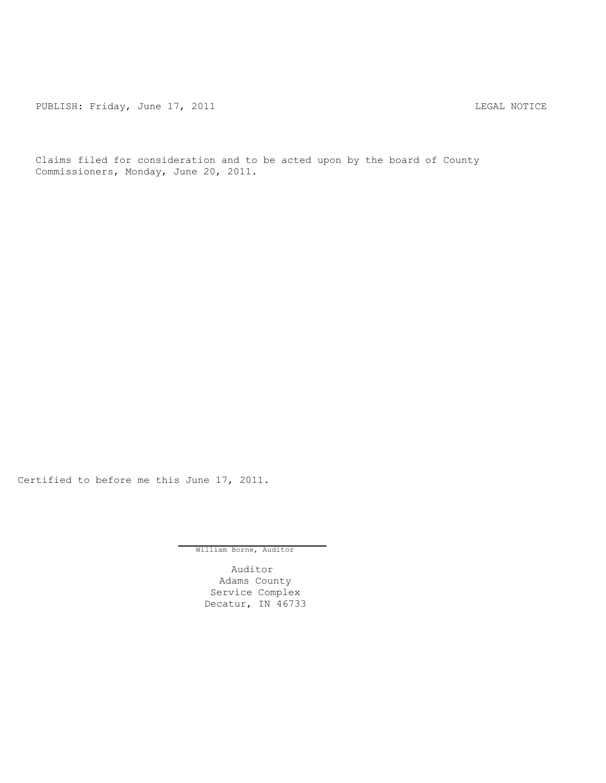PUBLISH: Friday, June 17, 2011 **LEGAL ROTICE** 

Claims filed for consideration and to be acted upon by the board of County Commissioners, Monday, June 20, 2011.

Certified to before me this June 17, 2011.

William Borne, Auditor

Auditor Adams County Service Complex Decatur, IN 46733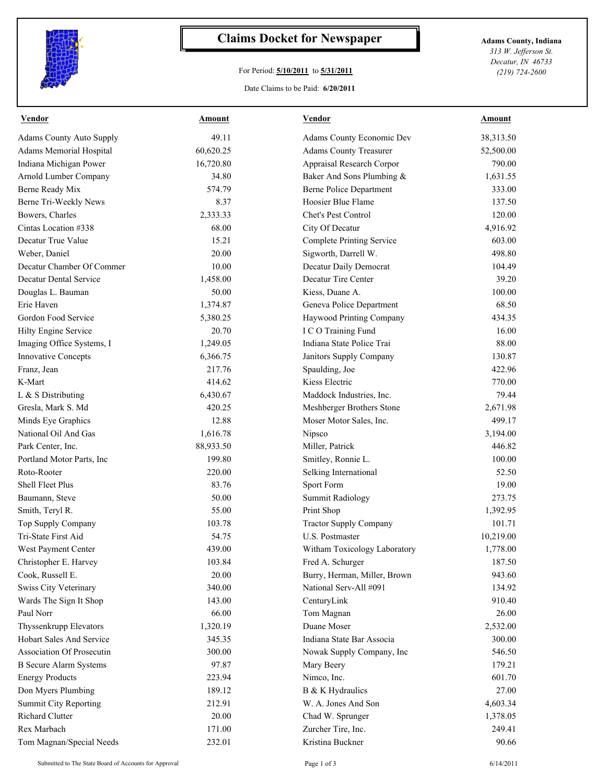

## **Claims Docket for Newspaper Adams County, Indiana**

## For Period: **5/10/2011** to **5/31/2011**

*313 W. Jefferson St. Decatur, IN 46733 (219) 724-2600*

## Date Claims to be Paid: **6/20/2011**

| <b>Vendor</b>                   | Amount    | <b>Vendor</b>                    | <b>Amount</b> |
|---------------------------------|-----------|----------------------------------|---------------|
| <b>Adams County Auto Supply</b> | 49.11     | Adams County Economic Dev        | 38,313.50     |
| Adams Memorial Hospital         | 60,620.25 | <b>Adams County Treasurer</b>    | 52,500.00     |
| Indiana Michigan Power          | 16,720.80 | Appraisal Research Corpor        | 790.00        |
| Arnold Lumber Company           | 34.80     | Baker And Sons Plumbing &        | 1,631.55      |
| Berne Ready Mix                 | 574.79    | <b>Berne Police Department</b>   | 333.00        |
| Berne Tri-Weekly News           | 8.37      | Hoosier Blue Flame               | 137.50        |
| Bowers, Charles                 | 2,333.33  | Chet's Pest Control              | 120.00        |
| Cintas Location #338            | 68.00     | City Of Decatur                  | 4,916.92      |
| Decatur True Value              | 15.21     | <b>Complete Printing Service</b> | 603.00        |
| Weber, Daniel                   | 20.00     | Sigworth, Darrell W.             | 498.80        |
| Decatur Chamber Of Commer       | 10.00     | Decatur Daily Democrat           | 104.49        |
| Decatur Dental Service          | 1,458.00  | Decatur Tire Center              | 39.20         |
| Douglas L. Bauman               | 50.00     | Kiess, Duane A.                  | 100.00        |
| Erie Haven                      | 1,374.87  | Geneva Police Department         | 68.50         |
| Gordon Food Service             | 5,380.25  | Haywood Printing Company         | 434.35        |
| Hilty Engine Service            | 20.70     | I C O Training Fund              | 16.00         |
| Imaging Office Systems, I       | 1,249.05  | Indiana State Police Trai        | 88.00         |
| <b>Innovative Concepts</b>      | 6,366.75  | Janitors Supply Company          | 130.87        |
| Franz, Jean                     | 217.76    | Spaulding, Joe                   | 422.96        |
| K-Mart                          | 414.62    | Kiess Electric                   | 770.00        |
| L & S Distributing              | 6,430.67  | Maddock Industries, Inc.         | 79.44         |
| Gresla, Mark S. Md              | 420.25    | Meshberger Brothers Stone        | 2,671.98      |
| Minds Eye Graphics              | 12.88     | Moser Motor Sales, Inc.          | 499.17        |
| National Oil And Gas            | 1,616.78  | Nipsco                           | 3,194.00      |
| Park Center, Inc.               | 88,933.50 | Miller, Patrick                  | 446.82        |
| Portland Motor Parts, Inc       | 199.80    | Smitley, Ronnie L.               | 100.00        |
| Roto-Rooter                     | 220.00    | Selking International            | 52.50         |
| Shell Fleet Plus                | 83.76     | Sport Form                       | 19.00         |
| Baumann, Steve                  | 50.00     | <b>Summit Radiology</b>          | 273.75        |
| Smith, Teryl R.                 | 55.00     | Print Shop                       | 1,392.95      |
| Top Supply Company              | 103.78    | <b>Tractor Supply Company</b>    | 101.71        |
| Tri-State First Aid             | 54.75     | U.S. Postmaster                  | 10,219.00     |
| West Payment Center             | 439.00    | Witham Toxicology Laboratory     | 1,778.00      |
| Christopher E. Harvey           | 103.84    | Fred A. Schurger                 | 187.50        |
| Cook, Russell E.                | 20.00     | Burry, Herman, Miller, Brown     | 943.60        |
| Swiss City Veterinary           | 340.00    | National Serv-All #091           | 134.92        |
| Wards The Sign It Shop          | 143.00    | CenturyLink                      | 910.40        |
| Paul Norr                       | 66.00     | Tom Magnan                       | 26.00         |
| Thyssenkrupp Elevators          | 1,320.19  | Duane Moser                      | 2,532.00      |
| Hobart Sales And Service        | 345.35    | Indiana State Bar Associa        | 300.00        |
| Association Of Prosecutin       | 300.00    | Nowak Supply Company, Inc.       | 546.50        |
| <b>B</b> Secure Alarm Systems   | 97.87     | Mary Beery                       | 179.21        |
| <b>Energy Products</b>          | 223.94    | Nimco, Inc.                      | 601.70        |
| Don Myers Plumbing              | 189.12    | B & K Hydraulics                 | 27.00         |
| <b>Summit City Reporting</b>    | 212.91    | W. A. Jones And Son              | 4,603.34      |
| Richard Clutter                 | 20.00     | Chad W. Sprunger                 | 1,378.05      |
| Rex Marbach                     | 171.00    | Zurcher Tire, Inc.               | 249.41        |
| Tom Magnan/Special Needs        | 232.01    | Kristina Buckner                 | 90.66         |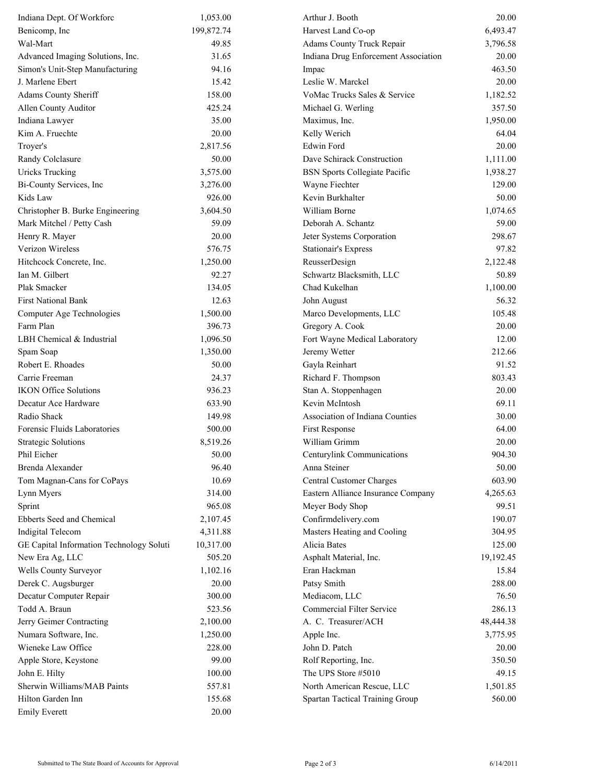| 199,872.74<br>6,493.47<br>Benicomp, Inc<br>Harvest Land Co-op<br>Adams County Truck Repair<br>Wal-Mart<br>49.85<br>3,796.58<br>Advanced Imaging Solutions, Inc.<br>Indiana Drug Enforcement Association<br>31.65<br>20.00<br>463.50<br>Simon's Unit-Step Manufacturing<br>94.16<br>Impac<br>J. Marlene Ebert<br>15.42<br>Leslie W. Marckel<br>20.00<br>Adams County Sheriff<br>158.00<br>VoMac Trucks Sales & Service<br>1,182.52<br>425.24<br>Allen County Auditor<br>Michael G. Werling<br>357.50<br>Indiana Lawyer<br>35.00<br>1,950.00<br>Maximus, Inc.<br>Kim A. Fruechte<br>20.00<br>Kelly Werich<br>64.04<br><b>Edwin Ford</b><br>Troyer's<br>2,817.56<br>20.00<br>Randy Colclasure<br>50.00<br>Dave Schirack Construction<br>1,111.00<br><b>Uricks Trucking</b><br>3,575.00<br><b>BSN</b> Sports Collegiate Pacific<br>1,938.27<br>Bi-County Services, Inc<br>Wayne Fiechter<br>129.00<br>3,276.00<br>Kevin Burkhalter<br>50.00<br>Kids Law<br>926.00<br>William Borne<br>1,074.65<br>Christopher B. Burke Engineering<br>3,604.50<br>Mark Mitchel / Petty Cash<br>59.09<br>Deborah A. Schantz<br>59.00<br>298.67<br>Henry R. Mayer<br>20.00<br>Jeter Systems Corporation<br>Verizon Wireless<br>576.75<br><b>Stationair's Express</b><br>97.82<br>Hitchcock Concrete, Inc.<br>ReusserDesign<br>2,122.48<br>1,250.00<br>Ian M. Gilbert<br>Schwartz Blacksmith, LLC<br>92.27<br>50.89<br>Plak Smacker<br>Chad Kukelhan<br>1,100.00<br>134.05<br><b>First National Bank</b><br>12.63<br>John August<br>56.32<br>Computer Age Technologies<br>1,500.00<br>Marco Developments, LLC<br>105.48<br>Farm Plan<br>396.73<br>Gregory A. Cook<br>20.00<br>LBH Chemical & Industrial<br>Fort Wayne Medical Laboratory<br>12.00<br>1,096.50<br>212.66<br>Spam Soap<br>Jeremy Wetter<br>1,350.00<br>91.52<br>Robert E. Rhoades<br>50.00<br>Gayla Reinhart<br>803.43<br>Carrie Freeman<br>24.37<br>Richard F. Thompson<br><b>IKON Office Solutions</b><br>936.23<br>Stan A. Stoppenhagen<br>20.00<br>Kevin McIntosh<br>69.11<br>Decatur Ace Hardware<br>633.90<br>Radio Shack<br>Association of Indiana Counties<br>149.98<br>30.00<br>Forensic Fluids Laboratories<br>500.00<br>First Response<br>64.00<br>William Grimm<br><b>Strategic Solutions</b><br>8,519.26<br>20.00<br>904.30<br>Phil Eicher<br>50.00<br>Centurylink Communications<br>96.40<br>Anna Steiner<br>50.00<br>Brenda Alexander<br>10.69<br>Tom Magnan-Cans for CoPays<br>Central Customer Charges<br>603.90<br>314.00<br>Eastern Alliance Insurance Company<br>Lynn Myers<br>4,265.63<br>965.08<br>Meyer Body Shop<br>99.51<br>Confirmdelivery.com<br>190.07<br>Ebberts Seed and Chemical<br>2,107.45<br>Masters Heating and Cooling<br><b>Indigital Telecom</b><br>4,311.88<br>304.95<br>GE Capital Information Technology Soluti<br>Alicia Bates<br>10,317.00<br>125.00<br>New Era Ag, LLC<br>505.20<br>Asphalt Material, Inc.<br>19,192.45<br>Wells County Surveyor<br>1,102.16<br>Eran Hackman<br>15.84<br>Patsy Smith<br>288.00<br>Derek C. Augsburger<br>20.00<br>Decatur Computer Repair<br>300.00<br>Mediacom, LLC<br>76.50<br>Commercial Filter Service<br>Todd A. Braun<br>523.56<br>286.13<br>A. C. Treasurer/ACH<br>Jerry Geimer Contracting<br>2,100.00<br>48,444.38<br>Numara Software, Inc.<br>1,250.00<br>Apple Inc.<br>3,775.95<br>Wieneke Law Office<br>228.00<br>John D. Patch<br>20.00<br>99.00<br>350.50<br>Apple Store, Keystone<br>Rolf Reporting, Inc.<br>100.00<br>The UPS Store #5010<br>49.15<br>John E. Hilty<br>Sherwin Williams/MAB Paints<br>North American Rescue, LLC<br>557.81<br>1,501.85<br>Hilton Garden Inn<br>155.68<br>560.00<br>Spartan Tactical Training Group<br><b>Emily Everett</b><br>20.00 | Indiana Dept. Of Workforc | 1,053.00 | Arthur J. Booth | 20.00 |
|--------------------------------------------------------------------------------------------------------------------------------------------------------------------------------------------------------------------------------------------------------------------------------------------------------------------------------------------------------------------------------------------------------------------------------------------------------------------------------------------------------------------------------------------------------------------------------------------------------------------------------------------------------------------------------------------------------------------------------------------------------------------------------------------------------------------------------------------------------------------------------------------------------------------------------------------------------------------------------------------------------------------------------------------------------------------------------------------------------------------------------------------------------------------------------------------------------------------------------------------------------------------------------------------------------------------------------------------------------------------------------------------------------------------------------------------------------------------------------------------------------------------------------------------------------------------------------------------------------------------------------------------------------------------------------------------------------------------------------------------------------------------------------------------------------------------------------------------------------------------------------------------------------------------------------------------------------------------------------------------------------------------------------------------------------------------------------------------------------------------------------------------------------------------------------------------------------------------------------------------------------------------------------------------------------------------------------------------------------------------------------------------------------------------------------------------------------------------------------------------------------------------------------------------------------------------------------------------------------------------------------------------------------------------------------------------------------------------------------------------------------------------------------------------------------------------------------------------------------------------------------------------------------------------------------------------------------------------------------------------------------------------------------------------------------------------------------------------------------------------------------------------------------------------------------------------------------------------------------------------------------------------------------------------------------------------------------------------------------------------------------------------------------------------------------------------------------------------------------------------------------------------------------------------------------------------------------------------------------------------------------------------------------------------------------------------------------|---------------------------|----------|-----------------|-------|
|                                                                                                                                                                                                                                                                                                                                                                                                                                                                                                                                                                                                                                                                                                                                                                                                                                                                                                                                                                                                                                                                                                                                                                                                                                                                                                                                                                                                                                                                                                                                                                                                                                                                                                                                                                                                                                                                                                                                                                                                                                                                                                                                                                                                                                                                                                                                                                                                                                                                                                                                                                                                                                                                                                                                                                                                                                                                                                                                                                                                                                                                                                                                                                                                                                                                                                                                                                                                                                                                                                                                                                                                                                                                                                        |                           |          |                 |       |
|                                                                                                                                                                                                                                                                                                                                                                                                                                                                                                                                                                                                                                                                                                                                                                                                                                                                                                                                                                                                                                                                                                                                                                                                                                                                                                                                                                                                                                                                                                                                                                                                                                                                                                                                                                                                                                                                                                                                                                                                                                                                                                                                                                                                                                                                                                                                                                                                                                                                                                                                                                                                                                                                                                                                                                                                                                                                                                                                                                                                                                                                                                                                                                                                                                                                                                                                                                                                                                                                                                                                                                                                                                                                                                        |                           |          |                 |       |
|                                                                                                                                                                                                                                                                                                                                                                                                                                                                                                                                                                                                                                                                                                                                                                                                                                                                                                                                                                                                                                                                                                                                                                                                                                                                                                                                                                                                                                                                                                                                                                                                                                                                                                                                                                                                                                                                                                                                                                                                                                                                                                                                                                                                                                                                                                                                                                                                                                                                                                                                                                                                                                                                                                                                                                                                                                                                                                                                                                                                                                                                                                                                                                                                                                                                                                                                                                                                                                                                                                                                                                                                                                                                                                        |                           |          |                 |       |
|                                                                                                                                                                                                                                                                                                                                                                                                                                                                                                                                                                                                                                                                                                                                                                                                                                                                                                                                                                                                                                                                                                                                                                                                                                                                                                                                                                                                                                                                                                                                                                                                                                                                                                                                                                                                                                                                                                                                                                                                                                                                                                                                                                                                                                                                                                                                                                                                                                                                                                                                                                                                                                                                                                                                                                                                                                                                                                                                                                                                                                                                                                                                                                                                                                                                                                                                                                                                                                                                                                                                                                                                                                                                                                        |                           |          |                 |       |
|                                                                                                                                                                                                                                                                                                                                                                                                                                                                                                                                                                                                                                                                                                                                                                                                                                                                                                                                                                                                                                                                                                                                                                                                                                                                                                                                                                                                                                                                                                                                                                                                                                                                                                                                                                                                                                                                                                                                                                                                                                                                                                                                                                                                                                                                                                                                                                                                                                                                                                                                                                                                                                                                                                                                                                                                                                                                                                                                                                                                                                                                                                                                                                                                                                                                                                                                                                                                                                                                                                                                                                                                                                                                                                        |                           |          |                 |       |
|                                                                                                                                                                                                                                                                                                                                                                                                                                                                                                                                                                                                                                                                                                                                                                                                                                                                                                                                                                                                                                                                                                                                                                                                                                                                                                                                                                                                                                                                                                                                                                                                                                                                                                                                                                                                                                                                                                                                                                                                                                                                                                                                                                                                                                                                                                                                                                                                                                                                                                                                                                                                                                                                                                                                                                                                                                                                                                                                                                                                                                                                                                                                                                                                                                                                                                                                                                                                                                                                                                                                                                                                                                                                                                        |                           |          |                 |       |
|                                                                                                                                                                                                                                                                                                                                                                                                                                                                                                                                                                                                                                                                                                                                                                                                                                                                                                                                                                                                                                                                                                                                                                                                                                                                                                                                                                                                                                                                                                                                                                                                                                                                                                                                                                                                                                                                                                                                                                                                                                                                                                                                                                                                                                                                                                                                                                                                                                                                                                                                                                                                                                                                                                                                                                                                                                                                                                                                                                                                                                                                                                                                                                                                                                                                                                                                                                                                                                                                                                                                                                                                                                                                                                        |                           |          |                 |       |
|                                                                                                                                                                                                                                                                                                                                                                                                                                                                                                                                                                                                                                                                                                                                                                                                                                                                                                                                                                                                                                                                                                                                                                                                                                                                                                                                                                                                                                                                                                                                                                                                                                                                                                                                                                                                                                                                                                                                                                                                                                                                                                                                                                                                                                                                                                                                                                                                                                                                                                                                                                                                                                                                                                                                                                                                                                                                                                                                                                                                                                                                                                                                                                                                                                                                                                                                                                                                                                                                                                                                                                                                                                                                                                        |                           |          |                 |       |
|                                                                                                                                                                                                                                                                                                                                                                                                                                                                                                                                                                                                                                                                                                                                                                                                                                                                                                                                                                                                                                                                                                                                                                                                                                                                                                                                                                                                                                                                                                                                                                                                                                                                                                                                                                                                                                                                                                                                                                                                                                                                                                                                                                                                                                                                                                                                                                                                                                                                                                                                                                                                                                                                                                                                                                                                                                                                                                                                                                                                                                                                                                                                                                                                                                                                                                                                                                                                                                                                                                                                                                                                                                                                                                        |                           |          |                 |       |
|                                                                                                                                                                                                                                                                                                                                                                                                                                                                                                                                                                                                                                                                                                                                                                                                                                                                                                                                                                                                                                                                                                                                                                                                                                                                                                                                                                                                                                                                                                                                                                                                                                                                                                                                                                                                                                                                                                                                                                                                                                                                                                                                                                                                                                                                                                                                                                                                                                                                                                                                                                                                                                                                                                                                                                                                                                                                                                                                                                                                                                                                                                                                                                                                                                                                                                                                                                                                                                                                                                                                                                                                                                                                                                        |                           |          |                 |       |
|                                                                                                                                                                                                                                                                                                                                                                                                                                                                                                                                                                                                                                                                                                                                                                                                                                                                                                                                                                                                                                                                                                                                                                                                                                                                                                                                                                                                                                                                                                                                                                                                                                                                                                                                                                                                                                                                                                                                                                                                                                                                                                                                                                                                                                                                                                                                                                                                                                                                                                                                                                                                                                                                                                                                                                                                                                                                                                                                                                                                                                                                                                                                                                                                                                                                                                                                                                                                                                                                                                                                                                                                                                                                                                        |                           |          |                 |       |
|                                                                                                                                                                                                                                                                                                                                                                                                                                                                                                                                                                                                                                                                                                                                                                                                                                                                                                                                                                                                                                                                                                                                                                                                                                                                                                                                                                                                                                                                                                                                                                                                                                                                                                                                                                                                                                                                                                                                                                                                                                                                                                                                                                                                                                                                                                                                                                                                                                                                                                                                                                                                                                                                                                                                                                                                                                                                                                                                                                                                                                                                                                                                                                                                                                                                                                                                                                                                                                                                                                                                                                                                                                                                                                        |                           |          |                 |       |
|                                                                                                                                                                                                                                                                                                                                                                                                                                                                                                                                                                                                                                                                                                                                                                                                                                                                                                                                                                                                                                                                                                                                                                                                                                                                                                                                                                                                                                                                                                                                                                                                                                                                                                                                                                                                                                                                                                                                                                                                                                                                                                                                                                                                                                                                                                                                                                                                                                                                                                                                                                                                                                                                                                                                                                                                                                                                                                                                                                                                                                                                                                                                                                                                                                                                                                                                                                                                                                                                                                                                                                                                                                                                                                        |                           |          |                 |       |
|                                                                                                                                                                                                                                                                                                                                                                                                                                                                                                                                                                                                                                                                                                                                                                                                                                                                                                                                                                                                                                                                                                                                                                                                                                                                                                                                                                                                                                                                                                                                                                                                                                                                                                                                                                                                                                                                                                                                                                                                                                                                                                                                                                                                                                                                                                                                                                                                                                                                                                                                                                                                                                                                                                                                                                                                                                                                                                                                                                                                                                                                                                                                                                                                                                                                                                                                                                                                                                                                                                                                                                                                                                                                                                        |                           |          |                 |       |
|                                                                                                                                                                                                                                                                                                                                                                                                                                                                                                                                                                                                                                                                                                                                                                                                                                                                                                                                                                                                                                                                                                                                                                                                                                                                                                                                                                                                                                                                                                                                                                                                                                                                                                                                                                                                                                                                                                                                                                                                                                                                                                                                                                                                                                                                                                                                                                                                                                                                                                                                                                                                                                                                                                                                                                                                                                                                                                                                                                                                                                                                                                                                                                                                                                                                                                                                                                                                                                                                                                                                                                                                                                                                                                        |                           |          |                 |       |
|                                                                                                                                                                                                                                                                                                                                                                                                                                                                                                                                                                                                                                                                                                                                                                                                                                                                                                                                                                                                                                                                                                                                                                                                                                                                                                                                                                                                                                                                                                                                                                                                                                                                                                                                                                                                                                                                                                                                                                                                                                                                                                                                                                                                                                                                                                                                                                                                                                                                                                                                                                                                                                                                                                                                                                                                                                                                                                                                                                                                                                                                                                                                                                                                                                                                                                                                                                                                                                                                                                                                                                                                                                                                                                        |                           |          |                 |       |
|                                                                                                                                                                                                                                                                                                                                                                                                                                                                                                                                                                                                                                                                                                                                                                                                                                                                                                                                                                                                                                                                                                                                                                                                                                                                                                                                                                                                                                                                                                                                                                                                                                                                                                                                                                                                                                                                                                                                                                                                                                                                                                                                                                                                                                                                                                                                                                                                                                                                                                                                                                                                                                                                                                                                                                                                                                                                                                                                                                                                                                                                                                                                                                                                                                                                                                                                                                                                                                                                                                                                                                                                                                                                                                        |                           |          |                 |       |
|                                                                                                                                                                                                                                                                                                                                                                                                                                                                                                                                                                                                                                                                                                                                                                                                                                                                                                                                                                                                                                                                                                                                                                                                                                                                                                                                                                                                                                                                                                                                                                                                                                                                                                                                                                                                                                                                                                                                                                                                                                                                                                                                                                                                                                                                                                                                                                                                                                                                                                                                                                                                                                                                                                                                                                                                                                                                                                                                                                                                                                                                                                                                                                                                                                                                                                                                                                                                                                                                                                                                                                                                                                                                                                        |                           |          |                 |       |
|                                                                                                                                                                                                                                                                                                                                                                                                                                                                                                                                                                                                                                                                                                                                                                                                                                                                                                                                                                                                                                                                                                                                                                                                                                                                                                                                                                                                                                                                                                                                                                                                                                                                                                                                                                                                                                                                                                                                                                                                                                                                                                                                                                                                                                                                                                                                                                                                                                                                                                                                                                                                                                                                                                                                                                                                                                                                                                                                                                                                                                                                                                                                                                                                                                                                                                                                                                                                                                                                                                                                                                                                                                                                                                        |                           |          |                 |       |
|                                                                                                                                                                                                                                                                                                                                                                                                                                                                                                                                                                                                                                                                                                                                                                                                                                                                                                                                                                                                                                                                                                                                                                                                                                                                                                                                                                                                                                                                                                                                                                                                                                                                                                                                                                                                                                                                                                                                                                                                                                                                                                                                                                                                                                                                                                                                                                                                                                                                                                                                                                                                                                                                                                                                                                                                                                                                                                                                                                                                                                                                                                                                                                                                                                                                                                                                                                                                                                                                                                                                                                                                                                                                                                        |                           |          |                 |       |
|                                                                                                                                                                                                                                                                                                                                                                                                                                                                                                                                                                                                                                                                                                                                                                                                                                                                                                                                                                                                                                                                                                                                                                                                                                                                                                                                                                                                                                                                                                                                                                                                                                                                                                                                                                                                                                                                                                                                                                                                                                                                                                                                                                                                                                                                                                                                                                                                                                                                                                                                                                                                                                                                                                                                                                                                                                                                                                                                                                                                                                                                                                                                                                                                                                                                                                                                                                                                                                                                                                                                                                                                                                                                                                        |                           |          |                 |       |
|                                                                                                                                                                                                                                                                                                                                                                                                                                                                                                                                                                                                                                                                                                                                                                                                                                                                                                                                                                                                                                                                                                                                                                                                                                                                                                                                                                                                                                                                                                                                                                                                                                                                                                                                                                                                                                                                                                                                                                                                                                                                                                                                                                                                                                                                                                                                                                                                                                                                                                                                                                                                                                                                                                                                                                                                                                                                                                                                                                                                                                                                                                                                                                                                                                                                                                                                                                                                                                                                                                                                                                                                                                                                                                        |                           |          |                 |       |
|                                                                                                                                                                                                                                                                                                                                                                                                                                                                                                                                                                                                                                                                                                                                                                                                                                                                                                                                                                                                                                                                                                                                                                                                                                                                                                                                                                                                                                                                                                                                                                                                                                                                                                                                                                                                                                                                                                                                                                                                                                                                                                                                                                                                                                                                                                                                                                                                                                                                                                                                                                                                                                                                                                                                                                                                                                                                                                                                                                                                                                                                                                                                                                                                                                                                                                                                                                                                                                                                                                                                                                                                                                                                                                        |                           |          |                 |       |
|                                                                                                                                                                                                                                                                                                                                                                                                                                                                                                                                                                                                                                                                                                                                                                                                                                                                                                                                                                                                                                                                                                                                                                                                                                                                                                                                                                                                                                                                                                                                                                                                                                                                                                                                                                                                                                                                                                                                                                                                                                                                                                                                                                                                                                                                                                                                                                                                                                                                                                                                                                                                                                                                                                                                                                                                                                                                                                                                                                                                                                                                                                                                                                                                                                                                                                                                                                                                                                                                                                                                                                                                                                                                                                        |                           |          |                 |       |
|                                                                                                                                                                                                                                                                                                                                                                                                                                                                                                                                                                                                                                                                                                                                                                                                                                                                                                                                                                                                                                                                                                                                                                                                                                                                                                                                                                                                                                                                                                                                                                                                                                                                                                                                                                                                                                                                                                                                                                                                                                                                                                                                                                                                                                                                                                                                                                                                                                                                                                                                                                                                                                                                                                                                                                                                                                                                                                                                                                                                                                                                                                                                                                                                                                                                                                                                                                                                                                                                                                                                                                                                                                                                                                        |                           |          |                 |       |
|                                                                                                                                                                                                                                                                                                                                                                                                                                                                                                                                                                                                                                                                                                                                                                                                                                                                                                                                                                                                                                                                                                                                                                                                                                                                                                                                                                                                                                                                                                                                                                                                                                                                                                                                                                                                                                                                                                                                                                                                                                                                                                                                                                                                                                                                                                                                                                                                                                                                                                                                                                                                                                                                                                                                                                                                                                                                                                                                                                                                                                                                                                                                                                                                                                                                                                                                                                                                                                                                                                                                                                                                                                                                                                        |                           |          |                 |       |
|                                                                                                                                                                                                                                                                                                                                                                                                                                                                                                                                                                                                                                                                                                                                                                                                                                                                                                                                                                                                                                                                                                                                                                                                                                                                                                                                                                                                                                                                                                                                                                                                                                                                                                                                                                                                                                                                                                                                                                                                                                                                                                                                                                                                                                                                                                                                                                                                                                                                                                                                                                                                                                                                                                                                                                                                                                                                                                                                                                                                                                                                                                                                                                                                                                                                                                                                                                                                                                                                                                                                                                                                                                                                                                        |                           |          |                 |       |
|                                                                                                                                                                                                                                                                                                                                                                                                                                                                                                                                                                                                                                                                                                                                                                                                                                                                                                                                                                                                                                                                                                                                                                                                                                                                                                                                                                                                                                                                                                                                                                                                                                                                                                                                                                                                                                                                                                                                                                                                                                                                                                                                                                                                                                                                                                                                                                                                                                                                                                                                                                                                                                                                                                                                                                                                                                                                                                                                                                                                                                                                                                                                                                                                                                                                                                                                                                                                                                                                                                                                                                                                                                                                                                        |                           |          |                 |       |
|                                                                                                                                                                                                                                                                                                                                                                                                                                                                                                                                                                                                                                                                                                                                                                                                                                                                                                                                                                                                                                                                                                                                                                                                                                                                                                                                                                                                                                                                                                                                                                                                                                                                                                                                                                                                                                                                                                                                                                                                                                                                                                                                                                                                                                                                                                                                                                                                                                                                                                                                                                                                                                                                                                                                                                                                                                                                                                                                                                                                                                                                                                                                                                                                                                                                                                                                                                                                                                                                                                                                                                                                                                                                                                        |                           |          |                 |       |
|                                                                                                                                                                                                                                                                                                                                                                                                                                                                                                                                                                                                                                                                                                                                                                                                                                                                                                                                                                                                                                                                                                                                                                                                                                                                                                                                                                                                                                                                                                                                                                                                                                                                                                                                                                                                                                                                                                                                                                                                                                                                                                                                                                                                                                                                                                                                                                                                                                                                                                                                                                                                                                                                                                                                                                                                                                                                                                                                                                                                                                                                                                                                                                                                                                                                                                                                                                                                                                                                                                                                                                                                                                                                                                        |                           |          |                 |       |
|                                                                                                                                                                                                                                                                                                                                                                                                                                                                                                                                                                                                                                                                                                                                                                                                                                                                                                                                                                                                                                                                                                                                                                                                                                                                                                                                                                                                                                                                                                                                                                                                                                                                                                                                                                                                                                                                                                                                                                                                                                                                                                                                                                                                                                                                                                                                                                                                                                                                                                                                                                                                                                                                                                                                                                                                                                                                                                                                                                                                                                                                                                                                                                                                                                                                                                                                                                                                                                                                                                                                                                                                                                                                                                        |                           |          |                 |       |
|                                                                                                                                                                                                                                                                                                                                                                                                                                                                                                                                                                                                                                                                                                                                                                                                                                                                                                                                                                                                                                                                                                                                                                                                                                                                                                                                                                                                                                                                                                                                                                                                                                                                                                                                                                                                                                                                                                                                                                                                                                                                                                                                                                                                                                                                                                                                                                                                                                                                                                                                                                                                                                                                                                                                                                                                                                                                                                                                                                                                                                                                                                                                                                                                                                                                                                                                                                                                                                                                                                                                                                                                                                                                                                        |                           |          |                 |       |
|                                                                                                                                                                                                                                                                                                                                                                                                                                                                                                                                                                                                                                                                                                                                                                                                                                                                                                                                                                                                                                                                                                                                                                                                                                                                                                                                                                                                                                                                                                                                                                                                                                                                                                                                                                                                                                                                                                                                                                                                                                                                                                                                                                                                                                                                                                                                                                                                                                                                                                                                                                                                                                                                                                                                                                                                                                                                                                                                                                                                                                                                                                                                                                                                                                                                                                                                                                                                                                                                                                                                                                                                                                                                                                        |                           |          |                 |       |
|                                                                                                                                                                                                                                                                                                                                                                                                                                                                                                                                                                                                                                                                                                                                                                                                                                                                                                                                                                                                                                                                                                                                                                                                                                                                                                                                                                                                                                                                                                                                                                                                                                                                                                                                                                                                                                                                                                                                                                                                                                                                                                                                                                                                                                                                                                                                                                                                                                                                                                                                                                                                                                                                                                                                                                                                                                                                                                                                                                                                                                                                                                                                                                                                                                                                                                                                                                                                                                                                                                                                                                                                                                                                                                        |                           |          |                 |       |
|                                                                                                                                                                                                                                                                                                                                                                                                                                                                                                                                                                                                                                                                                                                                                                                                                                                                                                                                                                                                                                                                                                                                                                                                                                                                                                                                                                                                                                                                                                                                                                                                                                                                                                                                                                                                                                                                                                                                                                                                                                                                                                                                                                                                                                                                                                                                                                                                                                                                                                                                                                                                                                                                                                                                                                                                                                                                                                                                                                                                                                                                                                                                                                                                                                                                                                                                                                                                                                                                                                                                                                                                                                                                                                        |                           |          |                 |       |
|                                                                                                                                                                                                                                                                                                                                                                                                                                                                                                                                                                                                                                                                                                                                                                                                                                                                                                                                                                                                                                                                                                                                                                                                                                                                                                                                                                                                                                                                                                                                                                                                                                                                                                                                                                                                                                                                                                                                                                                                                                                                                                                                                                                                                                                                                                                                                                                                                                                                                                                                                                                                                                                                                                                                                                                                                                                                                                                                                                                                                                                                                                                                                                                                                                                                                                                                                                                                                                                                                                                                                                                                                                                                                                        |                           |          |                 |       |
|                                                                                                                                                                                                                                                                                                                                                                                                                                                                                                                                                                                                                                                                                                                                                                                                                                                                                                                                                                                                                                                                                                                                                                                                                                                                                                                                                                                                                                                                                                                                                                                                                                                                                                                                                                                                                                                                                                                                                                                                                                                                                                                                                                                                                                                                                                                                                                                                                                                                                                                                                                                                                                                                                                                                                                                                                                                                                                                                                                                                                                                                                                                                                                                                                                                                                                                                                                                                                                                                                                                                                                                                                                                                                                        |                           |          |                 |       |
|                                                                                                                                                                                                                                                                                                                                                                                                                                                                                                                                                                                                                                                                                                                                                                                                                                                                                                                                                                                                                                                                                                                                                                                                                                                                                                                                                                                                                                                                                                                                                                                                                                                                                                                                                                                                                                                                                                                                                                                                                                                                                                                                                                                                                                                                                                                                                                                                                                                                                                                                                                                                                                                                                                                                                                                                                                                                                                                                                                                                                                                                                                                                                                                                                                                                                                                                                                                                                                                                                                                                                                                                                                                                                                        |                           |          |                 |       |
|                                                                                                                                                                                                                                                                                                                                                                                                                                                                                                                                                                                                                                                                                                                                                                                                                                                                                                                                                                                                                                                                                                                                                                                                                                                                                                                                                                                                                                                                                                                                                                                                                                                                                                                                                                                                                                                                                                                                                                                                                                                                                                                                                                                                                                                                                                                                                                                                                                                                                                                                                                                                                                                                                                                                                                                                                                                                                                                                                                                                                                                                                                                                                                                                                                                                                                                                                                                                                                                                                                                                                                                                                                                                                                        | Sprint                    |          |                 |       |
|                                                                                                                                                                                                                                                                                                                                                                                                                                                                                                                                                                                                                                                                                                                                                                                                                                                                                                                                                                                                                                                                                                                                                                                                                                                                                                                                                                                                                                                                                                                                                                                                                                                                                                                                                                                                                                                                                                                                                                                                                                                                                                                                                                                                                                                                                                                                                                                                                                                                                                                                                                                                                                                                                                                                                                                                                                                                                                                                                                                                                                                                                                                                                                                                                                                                                                                                                                                                                                                                                                                                                                                                                                                                                                        |                           |          |                 |       |
|                                                                                                                                                                                                                                                                                                                                                                                                                                                                                                                                                                                                                                                                                                                                                                                                                                                                                                                                                                                                                                                                                                                                                                                                                                                                                                                                                                                                                                                                                                                                                                                                                                                                                                                                                                                                                                                                                                                                                                                                                                                                                                                                                                                                                                                                                                                                                                                                                                                                                                                                                                                                                                                                                                                                                                                                                                                                                                                                                                                                                                                                                                                                                                                                                                                                                                                                                                                                                                                                                                                                                                                                                                                                                                        |                           |          |                 |       |
|                                                                                                                                                                                                                                                                                                                                                                                                                                                                                                                                                                                                                                                                                                                                                                                                                                                                                                                                                                                                                                                                                                                                                                                                                                                                                                                                                                                                                                                                                                                                                                                                                                                                                                                                                                                                                                                                                                                                                                                                                                                                                                                                                                                                                                                                                                                                                                                                                                                                                                                                                                                                                                                                                                                                                                                                                                                                                                                                                                                                                                                                                                                                                                                                                                                                                                                                                                                                                                                                                                                                                                                                                                                                                                        |                           |          |                 |       |
|                                                                                                                                                                                                                                                                                                                                                                                                                                                                                                                                                                                                                                                                                                                                                                                                                                                                                                                                                                                                                                                                                                                                                                                                                                                                                                                                                                                                                                                                                                                                                                                                                                                                                                                                                                                                                                                                                                                                                                                                                                                                                                                                                                                                                                                                                                                                                                                                                                                                                                                                                                                                                                                                                                                                                                                                                                                                                                                                                                                                                                                                                                                                                                                                                                                                                                                                                                                                                                                                                                                                                                                                                                                                                                        |                           |          |                 |       |
|                                                                                                                                                                                                                                                                                                                                                                                                                                                                                                                                                                                                                                                                                                                                                                                                                                                                                                                                                                                                                                                                                                                                                                                                                                                                                                                                                                                                                                                                                                                                                                                                                                                                                                                                                                                                                                                                                                                                                                                                                                                                                                                                                                                                                                                                                                                                                                                                                                                                                                                                                                                                                                                                                                                                                                                                                                                                                                                                                                                                                                                                                                                                                                                                                                                                                                                                                                                                                                                                                                                                                                                                                                                                                                        |                           |          |                 |       |
|                                                                                                                                                                                                                                                                                                                                                                                                                                                                                                                                                                                                                                                                                                                                                                                                                                                                                                                                                                                                                                                                                                                                                                                                                                                                                                                                                                                                                                                                                                                                                                                                                                                                                                                                                                                                                                                                                                                                                                                                                                                                                                                                                                                                                                                                                                                                                                                                                                                                                                                                                                                                                                                                                                                                                                                                                                                                                                                                                                                                                                                                                                                                                                                                                                                                                                                                                                                                                                                                                                                                                                                                                                                                                                        |                           |          |                 |       |
|                                                                                                                                                                                                                                                                                                                                                                                                                                                                                                                                                                                                                                                                                                                                                                                                                                                                                                                                                                                                                                                                                                                                                                                                                                                                                                                                                                                                                                                                                                                                                                                                                                                                                                                                                                                                                                                                                                                                                                                                                                                                                                                                                                                                                                                                                                                                                                                                                                                                                                                                                                                                                                                                                                                                                                                                                                                                                                                                                                                                                                                                                                                                                                                                                                                                                                                                                                                                                                                                                                                                                                                                                                                                                                        |                           |          |                 |       |
|                                                                                                                                                                                                                                                                                                                                                                                                                                                                                                                                                                                                                                                                                                                                                                                                                                                                                                                                                                                                                                                                                                                                                                                                                                                                                                                                                                                                                                                                                                                                                                                                                                                                                                                                                                                                                                                                                                                                                                                                                                                                                                                                                                                                                                                                                                                                                                                                                                                                                                                                                                                                                                                                                                                                                                                                                                                                                                                                                                                                                                                                                                                                                                                                                                                                                                                                                                                                                                                                                                                                                                                                                                                                                                        |                           |          |                 |       |
|                                                                                                                                                                                                                                                                                                                                                                                                                                                                                                                                                                                                                                                                                                                                                                                                                                                                                                                                                                                                                                                                                                                                                                                                                                                                                                                                                                                                                                                                                                                                                                                                                                                                                                                                                                                                                                                                                                                                                                                                                                                                                                                                                                                                                                                                                                                                                                                                                                                                                                                                                                                                                                                                                                                                                                                                                                                                                                                                                                                                                                                                                                                                                                                                                                                                                                                                                                                                                                                                                                                                                                                                                                                                                                        |                           |          |                 |       |
|                                                                                                                                                                                                                                                                                                                                                                                                                                                                                                                                                                                                                                                                                                                                                                                                                                                                                                                                                                                                                                                                                                                                                                                                                                                                                                                                                                                                                                                                                                                                                                                                                                                                                                                                                                                                                                                                                                                                                                                                                                                                                                                                                                                                                                                                                                                                                                                                                                                                                                                                                                                                                                                                                                                                                                                                                                                                                                                                                                                                                                                                                                                                                                                                                                                                                                                                                                                                                                                                                                                                                                                                                                                                                                        |                           |          |                 |       |
|                                                                                                                                                                                                                                                                                                                                                                                                                                                                                                                                                                                                                                                                                                                                                                                                                                                                                                                                                                                                                                                                                                                                                                                                                                                                                                                                                                                                                                                                                                                                                                                                                                                                                                                                                                                                                                                                                                                                                                                                                                                                                                                                                                                                                                                                                                                                                                                                                                                                                                                                                                                                                                                                                                                                                                                                                                                                                                                                                                                                                                                                                                                                                                                                                                                                                                                                                                                                                                                                                                                                                                                                                                                                                                        |                           |          |                 |       |
|                                                                                                                                                                                                                                                                                                                                                                                                                                                                                                                                                                                                                                                                                                                                                                                                                                                                                                                                                                                                                                                                                                                                                                                                                                                                                                                                                                                                                                                                                                                                                                                                                                                                                                                                                                                                                                                                                                                                                                                                                                                                                                                                                                                                                                                                                                                                                                                                                                                                                                                                                                                                                                                                                                                                                                                                                                                                                                                                                                                                                                                                                                                                                                                                                                                                                                                                                                                                                                                                                                                                                                                                                                                                                                        |                           |          |                 |       |
|                                                                                                                                                                                                                                                                                                                                                                                                                                                                                                                                                                                                                                                                                                                                                                                                                                                                                                                                                                                                                                                                                                                                                                                                                                                                                                                                                                                                                                                                                                                                                                                                                                                                                                                                                                                                                                                                                                                                                                                                                                                                                                                                                                                                                                                                                                                                                                                                                                                                                                                                                                                                                                                                                                                                                                                                                                                                                                                                                                                                                                                                                                                                                                                                                                                                                                                                                                                                                                                                                                                                                                                                                                                                                                        |                           |          |                 |       |
|                                                                                                                                                                                                                                                                                                                                                                                                                                                                                                                                                                                                                                                                                                                                                                                                                                                                                                                                                                                                                                                                                                                                                                                                                                                                                                                                                                                                                                                                                                                                                                                                                                                                                                                                                                                                                                                                                                                                                                                                                                                                                                                                                                                                                                                                                                                                                                                                                                                                                                                                                                                                                                                                                                                                                                                                                                                                                                                                                                                                                                                                                                                                                                                                                                                                                                                                                                                                                                                                                                                                                                                                                                                                                                        |                           |          |                 |       |
|                                                                                                                                                                                                                                                                                                                                                                                                                                                                                                                                                                                                                                                                                                                                                                                                                                                                                                                                                                                                                                                                                                                                                                                                                                                                                                                                                                                                                                                                                                                                                                                                                                                                                                                                                                                                                                                                                                                                                                                                                                                                                                                                                                                                                                                                                                                                                                                                                                                                                                                                                                                                                                                                                                                                                                                                                                                                                                                                                                                                                                                                                                                                                                                                                                                                                                                                                                                                                                                                                                                                                                                                                                                                                                        |                           |          |                 |       |
|                                                                                                                                                                                                                                                                                                                                                                                                                                                                                                                                                                                                                                                                                                                                                                                                                                                                                                                                                                                                                                                                                                                                                                                                                                                                                                                                                                                                                                                                                                                                                                                                                                                                                                                                                                                                                                                                                                                                                                                                                                                                                                                                                                                                                                                                                                                                                                                                                                                                                                                                                                                                                                                                                                                                                                                                                                                                                                                                                                                                                                                                                                                                                                                                                                                                                                                                                                                                                                                                                                                                                                                                                                                                                                        |                           |          |                 |       |